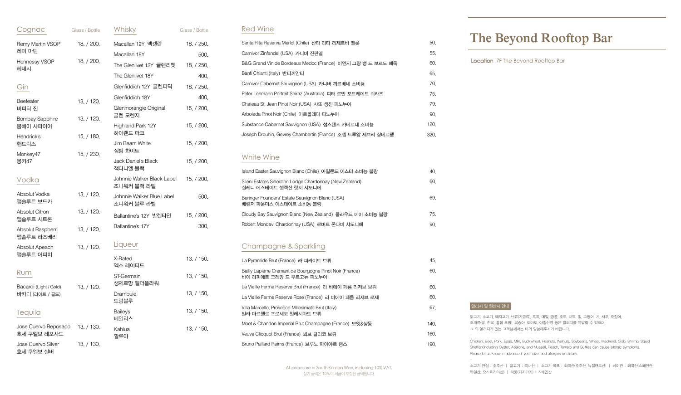닭고기, 소고기, 돼지고기, 난류(가금류), 우유, 메밀, 땅콩, 호두, 대두, 밀, 고등어, 게, 새우, 오징어, 조개류(굴, 전복, 홍합 포함), 복숭아, 토마토, 아황산염 등은 알러지를 유발할 수 있으며 그 외 알러지가 있는 고객님께서는 미리 말씀해주시기 바랍니다.

Chicken, Beef, Pork, Eggs, Milk, Buckwheat, Peanuts, Walnuts, Soybeans, Wheat, Mackerel, Crab, Shrimp, Squid, Shellfish(including Oyster, Abalone, and Mussel), Peach, Tomato and Sulfites can cause allergic symptoms. Please let us know in advance if you have food allergies or dietary.

소고기 안심 : 호주산 | 닭고기 : 국내산 | 소고기 육포 : 외국산(호주산, 뉴질랜드산) | 베이컨 : 외국산(스페인산, 독일산, 오스트리아산) | 하몽(돼지고기) : 스페인산

#### 알러지 및 원산지 안내

# **The Beyond Rooftop Bar**

Location 7F The Beyond Rooftop Bar

| Cognac                                   | Glass / Bottle                 | Whisky                                   | Glass / Bottle |
|------------------------------------------|--------------------------------|------------------------------------------|----------------|
| Remy Martin VSOP                         | 18, / 200,                     | Macallan 12Y 맥켈란                         | 18, / 250,     |
| 레미 마틴                                    |                                | Macallan 18Y                             | 500,           |
| Hennessy VSOP<br>헤네시                     | 18, / 200,                     | The Glenlivet 12Y 글렌리벳                   | 18, / 250,     |
|                                          |                                | The Glenlivet 18Y                        | 400,           |
| Gin                                      |                                | Glenfiddich 12Y 글렌피딕                     | 18, / 250,     |
| Beefeater                                | 13, / 120,                     | Glenfiddich 18Y                          | 400,           |
| 비피터 진                                    |                                | Glenmorangie Original                    | 15, / 200,     |
| <b>Bombay Sapphire</b>                   | 13, / 120,                     | 글렌 모렌지                                   |                |
| 붐베이 사파이어<br>Hendrick's                   | 15, / 180,                     | Highland Park 12Y<br>하이랜드 파크             | 15, / 200,     |
| 핸드릭스                                     |                                | Jim Beam White                           | 15, / 200,     |
| Monkey47                                 | 15, / 230,                     | 짐빔 화이트                                   |                |
| 몽키47                                     | Jack Daniel's Black<br>잭다니엘 블랙 | 15, / 200,                               |                |
| Vodka                                    |                                | Johnnie Walker Black Label<br>조니워커 블랙 라벨 | 15, / 200,     |
| Absolut Vodka<br>앱솔루트 보드카                | 13, / 120,                     | Johnnie Walker Blue Label<br>조니워커 블루 라벨  | 500,           |
| <b>Absolut Citron</b><br>앱솔루트 시트론        | 13, / 120,                     | Ballantine's 12Y 발렌타인                    | 15, / 200,     |
| Absolut Raspberri<br>앱솔루트 라즈베리           | 13, / 120,                     | Ballantine's 17Y                         | 300,           |
| Absolut Apeach                           | 13, / 120,                     | Liqueur                                  |                |
| 앱솔루트 어피치                                 |                                | X-Rated<br>엑스 레이티드                       | 13, / 150,     |
| Rum                                      |                                | ST-Germain<br>생제르망 엘더플라워                 | 13, / 150,     |
| Bacardi (Light / Gold)<br>바카디 (라이트 / 골드) | 13, / 120,                     | Drambuie<br>드럼블루                         | 13, / 150,     |
| Tequila                                  |                                | <b>Baileys</b><br>베일리스                   | 13, / 150,     |
| Jose Cuervo Reposado<br>호세 쿠엘보 레포사도      | 13, / 130,                     | Kahlua<br>깔루아                            | 13, / 150,     |
| Jose Cuervo Silver<br>호세 쿠엘보 실버          | 13, / 130,                     |                                          |                |

| Santa Rita Reserva Merlot (Chile) 산타 리타 리제르바 멜롯            | 50.  |
|------------------------------------------------------------|------|
| Carnivor Zinfandel (USA) 카니버 진판델                           | 55.  |
| B&G Grand Vin de Bordeaux Medoc (France) 비엔지 그랑 뱅 드 보르도 메독 | 60.  |
| Banfi Chianti (Italy) 반피끼안티                                | 65.  |
| Carnivor Cabernet Sauvignon (USA) 카니버 까르베네 소비뇽             | 70.  |
| Peter Lehmann Portrait Shiraz (Australia) 피터 르만 포트레이트 쉬라즈  | 75.  |
| Chateau St. Jean Pinot Noir (USA) 샤또 생진 피노누아               | 79.  |
| Arboleda Pinot Noir (Chile) 아르볼레다 피노누아                     | 90.  |
| Substance Cabernet Sauvignon (USA) 섭스텐스 카베르네 소비뇽           | 120. |
| Joseph Drouhin, Gevrey Chambertin (France) 조셉 드루앙 제브리 샹베르땡 | 320. |

| La Pyramide Brut (France) 라 피라미드 브뤼                                                 | 45.  |
|-------------------------------------------------------------------------------------|------|
| Bailly Lapierre Cremant de Bourgogne Pinot Noir (France)<br>바이 라피에르 크레망 드 부르고뉴 피노누아 | 60.  |
| La Vieille Ferme Reserve Brut (France) 라 비에이 페름 리저브 브뤼                              | 60.  |
| La Vieille Ferme Reserve Rose (France) 라 비에이 페름 리저브 로제                              | 60.  |
| Villa Marcello, Prosecco Millesimato Brut (Italy)<br>빌라 마르첼로 프로세코 밀레시마토 브뤼          | 67.  |
| Moet & Chandon Imperial Brut Champagne (France) 모엣&샹동                               | 140. |
| Veuve Clicquot Brut (France) 뵈브 클리코 브뤼                                              | 160. |
| Bruno Paillard Reims (France) 브루노 파이야르 랭스                                           | 190. |

| Island Easter Sauvignon Blanc (Chile) 아일랜드 이스터 소비뇽 블랑                            | 40. |
|----------------------------------------------------------------------------------|-----|
| Sileni Estates Selection Lodge Chardonnay (New Zealand)<br>실레니 에스테이트 셀렉션 랏지 샤도니에 | 60. |
| Beringer Founders' Estate Sauvignon Blanc (USA)<br>베린저 파운더스 이스테이트 소비뇽 블랑         | 69. |
| Cloudy Bay Sauvignon Blanc (New Zealand) 클라우드 베이 소비뇽 블랑                          | 75. |
| Robert Mondavi Chardonnay (USA) 로버트 몬다비 샤도니에                                     | 90. |

### Red Wine

## Champagne & Sparkling

### White Wine